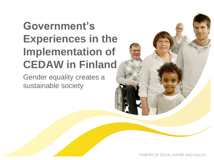# **Government's Experiences in the Implementation of CEDAW in Finland**

Gender equality creates a sustainable society

MINISTRY OF SOCIAL AFFAIRS AND HEALTH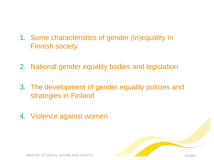- 1. Some characteristics of gender (in)equality in Finnish society
- 2. National gender equality bodies and legislation
- 3. The development of gender equality policies and strategies in Finland
- 4. Violence against women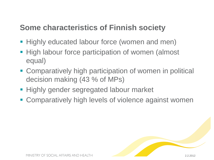#### **Some characteristics of Finnish society**

- **Highly educated labour force (women and men)**
- **High labour force participation of women (almost** equal)
- **Comparatively high participation of women in political** decision making (43 % of MPs)
- **Highly gender segregated labour market**
- **EX Comparatively high levels of violence against women**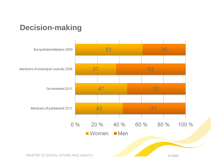

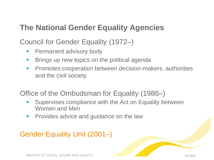#### **The National Gender Equality Agencies**

Council for Gender Equality (1972–)

- **Permanent advisory body**
- **Brings up new topics on the political agenda**
- **Promotes cooperation between decision-makers, authorities** and the civil society

Office of the Ombudsman for Equality (1986–)

- Supervises compliance with the Act on Equality between Women and Men
- **Provides advice and guidance on the law**

#### Gender Equality Unit (2001–)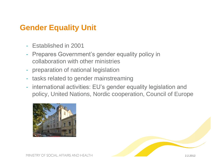#### **Gender Equality Unit**

- Established in 2001
- Prepares Government's gender equality policy in collaboration with other ministries
- preparation of national legislation
- tasks related to gender mainstreaming
- international activities: EU's gender equality legislation and policy, United Nations, Nordic cooperation, Council of Europe

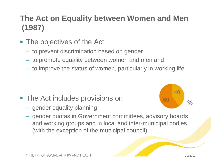## **The Act on Equality between Women and Men (1987)**

- **The objectives of the Act** 
	- to prevent discrimination based on gender
	- to promote equality between women and men and
	- to improve the status of women, particularly in working life

- **The Act includes provisions on** 
	- gender equality planning



– gender quotas in Government committees, advisory boards and working groups and in local and inter-municipal bodies (with the exception of the municipal council)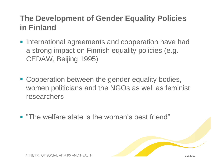#### **The Development of Gender Equality Policies in Finland**

- **International agreements and cooperation have had** a strong impact on Finnish equality policies (e.g. CEDAW, Beijing 1995)
- Cooperation between the gender equality bodies, women politicians and the NGOs as well as feminist researchers
- **"The welfare state is the woman's best friend"**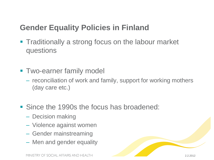#### **Gender Equality Policies in Finland**

- **Traditionally a strong focus on the labour market** questions
- **Two-earner family model** 
	- reconciliation of work and family, support for working mothers (day care etc.)
- Since the 1990s the focus has broadened:
	- Decision making
	- Violence against women
	- Gender mainstreaming
	- Men and gender equality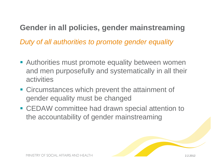# **Gender in all policies, gender mainstreaming**

*Duty of all authorities to promote gender equality*

- **Authorities must promote equality between women** and men purposefully and systematically in all their activities
- **EXPLEM** Circumstances which prevent the attainment of gender equality must be changed
- CEDAW committee had drawn special attention to the accountability of gender mainstreaming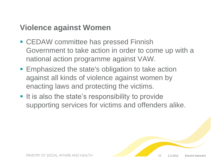#### **Violence against Women**

- CEDAW committee has pressed Finnish Government to take action in order to come up with a national action programme against VAW.
- **Emphasized the state's obligation to take action** against all kinds of violence against women by enacting laws and protecting the victims.
- **If is also the state's responsibility to provide** supporting services for victims and offenders alike.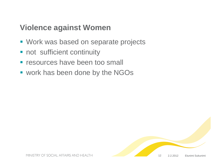#### **Violence against Women**

- **Work was based on separate projects**
- not sufficient continuity
- **Figure 1** resources have been too small
- work has been done by the NGOs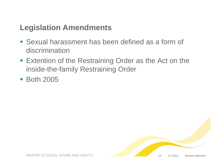#### **Legislation Amendments**

- Sexual harassment has been defined as a form of discrimination
- **Extention of the Restraining Order as the Act on the** inside-the-family Restraining Order
- **Both 2005**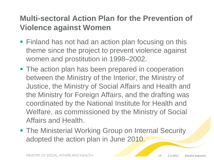#### **Multi-sectoral Action Plan for the Prevention of Violence against Women**

- **Finland has not had an action plan focusing on this** theme since the project to prevent violence against women and prostitution in 1998–2002.
- The action plan has been prepared in cooperation between the Ministry of the Interior, the Ministry of Justice, the Ministry of Social Affairs and Health and the Ministry for Foreign Affairs, and the drafting was coordinated by the National Institute for Health and Welfare, as commissioned by the Ministry of Social Affairs and Health.
- **The Ministerial Working Group on Internal Security** adopted the action plan in June 2010.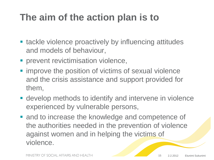# **The aim of the action plan is to**

- **Example 1** tackle violence proactively by influencing attitudes and models of behaviour,
- **Performation violence,**
- $\blacksquare$  improve the position of victims of sexual violence and the crisis assistance and support provided for them,
- develop methods to identify and intervene in violence experienced by vulnerable persons,
- and to increase the knowledge and competence of the authorities needed in the prevention of violence against women and in helping the victims of violence.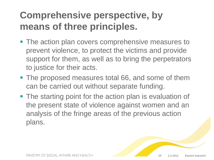# **Comprehensive perspective, by means of three principles.**

- **The action plan covers comprehensive measures to** prevent violence, to protect the victims and provide support for them, as well as to bring the perpetrators to justice for their acts.
- **The proposed measures total 66, and some of them** can be carried out without separate funding.
- **The starting point for the action plan is evaluation of** the present state of violence against women and an analysis of the fringe areas of the previous action plans.

16 2.2.2012 Etunimi Sukunimi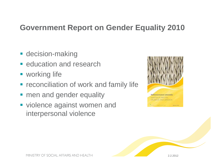#### **Government Report on Gender Equality 2010**

- **decision-making**
- **E** education and research
- **working life**
- **reconciliation of work and family life**
- men and gender equality
- violence against women and interpersonal violence



2.2.2012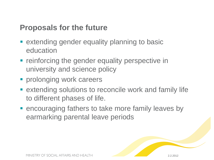#### **Proposals for the future**

- **Extending gender equality planning to basic** education
- **F** reinforcing the gender equality perspective in university and science policy
- **Perolonging work careers**
- **Extending solutions to reconcile work and family life** to different phases of life.
- **Exerce uraging fathers to take more family leaves by** earmarking parental leave periods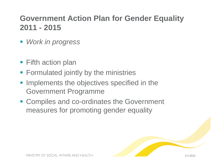### **Government Action Plan for Gender Equality 2011 - 2015**

- *Work in progress*
- Fifth action plan
- **Formulated jointly by the ministries**
- **Implements the objectives specified in the** Government Programme
- Compiles and co-ordinates the Government measures for promoting gender equality